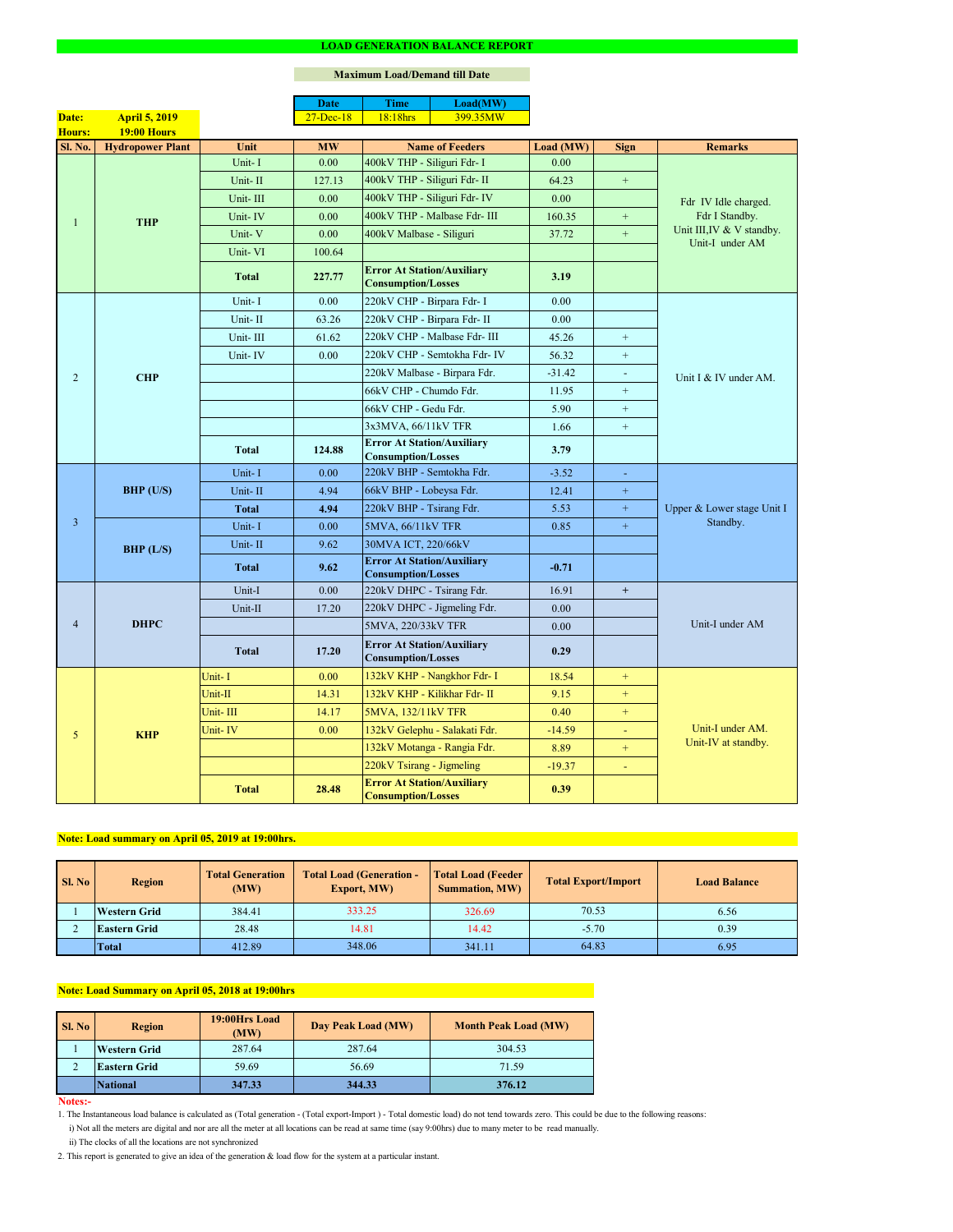#### **Notes:-**

|                |                         |              | <b>Date</b>       | <b>Time</b>                                                    | Load(MW)                      |           |                  |                                                                |  |
|----------------|-------------------------|--------------|-------------------|----------------------------------------------------------------|-------------------------------|-----------|------------------|----------------------------------------------------------------|--|
| Date:          | <b>April 5, 2019</b>    |              | $27 - Dec-18$     | 18:18hrs                                                       | 399.35MW                      |           |                  |                                                                |  |
| Hours:         | <b>19:00 Hours</b>      |              |                   |                                                                |                               |           |                  |                                                                |  |
| Sl. No.        | <b>Hydropower Plant</b> | Unit         | <b>MW</b>         | <b>Name of Feeders</b>                                         |                               | Load (MW) | <b>Sign</b>      | <b>Remarks</b>                                                 |  |
|                |                         | Unit-I       | 0.00              | 400kV THP - Siliguri Fdr- I                                    |                               | 0.00      |                  |                                                                |  |
|                |                         | Unit-II      | 127.13            | 400kV THP - Siliguri Fdr- II                                   |                               | 64.23     | $+$              |                                                                |  |
|                |                         | Unit-III     | 0.00              |                                                                | 400kV THP - Siliguri Fdr- IV  | 0.00      |                  | Fdr IV Idle charged.                                           |  |
| $\mathbf{1}$   | <b>THP</b>              | Unit-IV      | 0.00              |                                                                | 400kV THP - Malbase Fdr- III  | 160.35    | $+$              | Fdr I Standby.<br>Unit III, IV & V standby.<br>Unit-I under AM |  |
|                |                         | Unit-V       | 0.00              | 400kV Malbase - Siliguri                                       |                               | 37.72     | $\pm$            |                                                                |  |
|                |                         | Unit-VI      | 100.64            |                                                                |                               |           |                  |                                                                |  |
|                |                         | <b>Total</b> | 227.77            | <b>Error At Station/Auxiliary</b><br><b>Consumption/Losses</b> |                               | 3.19      |                  |                                                                |  |
|                |                         | Unit-I       | 0.00              | 220kV CHP - Birpara Fdr- I                                     |                               | 0.00      |                  |                                                                |  |
|                |                         | Unit-II      | 63.26             | 220kV CHP - Birpara Fdr- II                                    |                               | 0.00      |                  |                                                                |  |
|                |                         | Unit-III     | 61.62             |                                                                | 220kV CHP - Malbase Fdr- III  | 45.26     | $+$              |                                                                |  |
|                |                         | Unit-IV      | 0.00              |                                                                | 220kV CHP - Semtokha Fdr- IV  | 56.32     | $\boldsymbol{+}$ |                                                                |  |
| 2              | <b>CHP</b>              |              |                   |                                                                | 220kV Malbase - Birpara Fdr.  | $-31.42$  | $\blacksquare$   | Unit I & IV under AM.                                          |  |
|                |                         |              |                   | 66kV CHP - Chumdo Fdr.                                         |                               | 11.95     | $+$              |                                                                |  |
|                |                         |              |                   | 66kV CHP - Gedu Fdr.                                           |                               | 5.90      | $+$              |                                                                |  |
|                |                         |              |                   | 3x3MVA, 66/11kV TFR                                            |                               | 1.66      | $+$              |                                                                |  |
|                |                         | <b>Total</b> | 124.88            | <b>Error At Station/Auxiliary</b><br><b>Consumption/Losses</b> |                               | 3.79      |                  |                                                                |  |
|                | <b>BHP</b> (U/S)        | Unit-I       | 0.00              | 220kV BHP - Semtokha Fdr.                                      |                               | $-3.52$   | $\blacksquare$   |                                                                |  |
|                |                         | Unit-II      | 4.94              | 66kV BHP - Lobeysa Fdr.                                        |                               | 12.41     | $\pm$            |                                                                |  |
|                |                         | <b>Total</b> | 4.94              | 220kV BHP - Tsirang Fdr.                                       |                               | 5.53      | $+$              | Upper & Lower stage Unit I<br>Standby.                         |  |
| 3              |                         | Unit-I       | 0.00              | 5MVA, 66/11kV TFR                                              |                               | 0.85      | $\pm$            |                                                                |  |
|                | BHP (L/S)               | Unit-II      | 9.62              | 30MVA ICT, 220/66kV                                            |                               |           |                  |                                                                |  |
|                |                         |              |                   | <b>Error At Station/Auxiliary</b>                              |                               |           |                  |                                                                |  |
|                |                         | <b>Total</b> | 9.62              | <b>Consumption/Losses</b>                                      |                               | $-0.71$   |                  |                                                                |  |
|                | <b>DHPC</b>             | Unit-I       | 0.00              | 220kV DHPC - Tsirang Fdr.                                      |                               | 16.91     | $+$              |                                                                |  |
|                |                         | Unit-II      | 17.20             |                                                                | 220kV DHPC - Jigmeling Fdr.   | 0.00      |                  |                                                                |  |
| $\overline{4}$ |                         |              |                   | 5MVA, 220/33kV TFR                                             |                               | 0.00      |                  | Unit-I under AM                                                |  |
|                |                         | <b>Total</b> | 17.20             | <b>Error At Station/Auxiliary</b><br><b>Consumption/Losses</b> |                               | 0.29      |                  |                                                                |  |
|                |                         | Unit-I       | 0.00              |                                                                | 132kV KHP - Nangkhor Fdr- I   | 18.54     | $+$              |                                                                |  |
| 5              |                         | Unit-II      | 14.31             |                                                                | 132kV KHP - Kilikhar Fdr- II  | 9.15      | $+$              |                                                                |  |
|                | <b>KHP</b>              | Unit-III     | 14.17             | 5MVA, 132/11kV TFR                                             |                               | 0.40      | $+$              |                                                                |  |
|                |                         | Unit-IV      | 0.00 <sub>1</sub> |                                                                | 132kV Gelephu - Salakati Fdr. | $-14.59$  | $\blacksquare$   | Unit-I under AM.                                               |  |
|                |                         |              |                   |                                                                | 132kV Motanga - Rangia Fdr.   | 8.89      | $+$              | Unit-IV at standby.                                            |  |
|                |                         |              |                   | 220kV Tsirang - Jigmeling                                      |                               | $-19.37$  | $\sim$           |                                                                |  |
|                |                         | <b>Total</b> | 28.48             | <b>Error At Station/Auxiliary</b><br><b>Consumption/Losses</b> |                               | 0.39      |                  |                                                                |  |

### **LOAD GENERATION BALANCE REPORT**

| SI. No | <b>Total Generation</b><br><b>Region</b><br>(MW) |        | <b>Total Load (Generation -</b><br><b>Export, MW)</b> | <b>Total Load (Feeder</b><br><b>Summation, MW)</b> | <b>Total Export/Import</b> | <b>Load Balance</b> |
|--------|--------------------------------------------------|--------|-------------------------------------------------------|----------------------------------------------------|----------------------------|---------------------|
|        | <b>Western Grid</b>                              | 384.41 | 333.25                                                | 326.69                                             | 70.53                      | 6.56                |
|        | 28.48<br><b>Eastern Grid</b>                     |        | 14.81                                                 | 14.42                                              | $-5.70$                    | 0.39                |
|        | <b>Total</b>                                     | 412.89 | 348.06                                                | 341.11                                             | 64.83                      | 6.95                |

| <b>Sl. No</b> | <b>Region</b>       | 19:00Hrs Load<br>(MW) | Day Peak Load (MW) | <b>Month Peak Load (MW)</b> |  |
|---------------|---------------------|-----------------------|--------------------|-----------------------------|--|
|               | <b>Western Grid</b> | 287.64                | 287.64             | 304.53                      |  |
| ∠             | <b>Eastern Grid</b> | 59.69                 | 56.69              | 71.59                       |  |
|               | National            | 347.33                | 344.33             | 376.12                      |  |

i) Not all the meters are digital and nor are all the meter at all locations can be read at same time (say 9:00hrs) due to many meter to be read manually.

# **Note: Load Summary on April 05, 2018 at 19:00hrs**

1. The Instantaneous load balance is calculated as (Total generation - (Total export-Import ) - Total domestic load) do not tend towards zero. This could be due to the following reasons:

# **Note: Load summary on April 05, 2019 at 19:00hrs.**

2. This report is generated to give an idea of the generation & load flow for the system at a particular instant.

### **Maximum Load/Demand till Date**

ii) The clocks of all the locations are not synchronized